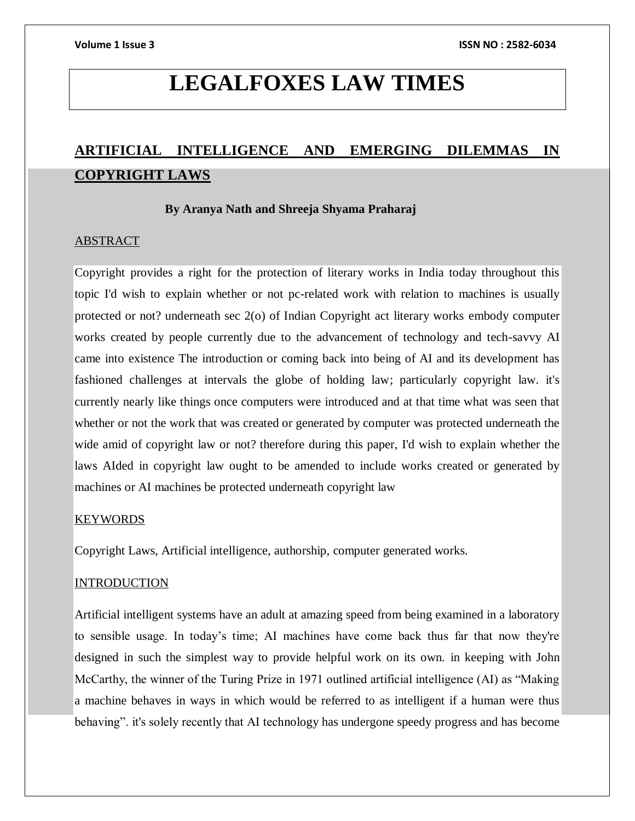# **LEGALFOXES LAW TIMES**

# **ARTIFICIAL INTELLIGENCE AND EMERGING DILEMMAS IN COPYRIGHT LAWS**

# **By Aranya Nath and Shreeja Shyama Praharaj**

# ABSTRACT

Copyright provides a right for the protection of literary works in India today throughout this topic I'd wish to explain whether or not pc-related work with relation to machines is usually protected or not? underneath sec 2(o) of Indian Copyright act literary works embody computer works created by people currently due to the advancement of technology and tech-savvy AI came into existence The introduction or coming back into being of AI and its development has fashioned challenges at intervals the globe of holding law; particularly copyright law. it's currently nearly like things once computers were introduced and at that time what was seen that whether or not the work that was created or generated by computer was protected underneath the wide amid of copyright law or not? therefore during this paper, I'd wish to explain whether the laws AIded in copyright law ought to be amended to include works created or generated by machines or AI machines be protected underneath copyright law

# KEYWORDS

Copyright Laws, Artificial intelligence, authorship, computer generated works.

# INTRODUCTION

Artificial intelligent systems have an adult at amazing speed from being examined in a laboratory to sensible usage. In today's time; AI machines have come back thus far that now they're designed in such the simplest way to provide helpful work on its own. in keeping with John McCarthy, the winner of the Turing Prize in 1971 outlined artificial intelligence (AI) as "Making a machine behaves in ways in which would be referred to as intelligent if a human were thus behaving". it's solely recently that AI technology has undergone speedy progress and has become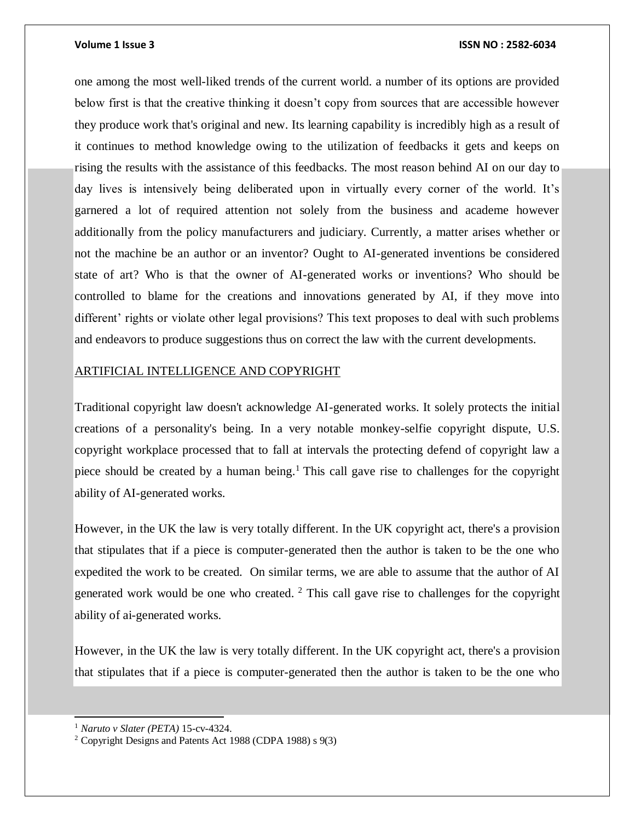one among the most well-liked trends of the current world. a number of its options are provided below first is that the creative thinking it doesn't copy from sources that are accessible however they produce work that's original and new. Its learning capability is incredibly high as a result of it continues to method knowledge owing to the utilization of feedbacks it gets and keeps on rising the results with the assistance of this feedbacks. The most reason behind AI on our day to day lives is intensively being deliberated upon in virtually every corner of the world. It's garnered a lot of required attention not solely from the business and academe however additionally from the policy manufacturers and judiciary. Currently, a matter arises whether or not the machine be an author or an inventor? Ought to AI-generated inventions be considered state of art? Who is that the owner of AI-generated works or inventions? Who should be controlled to blame for the creations and innovations generated by AI, if they move into different' rights or violate other legal provisions? This text proposes to deal with such problems and endeavors to produce suggestions thus on correct the law with the current developments.

# ARTIFICIAL INTELLIGENCE AND COPYRIGHT

Traditional copyright law doesn't acknowledge AI-generated works. It solely protects the initial creations of a personality's being. In a very notable monkey-selfie copyright dispute, U.S. copyright workplace processed that to fall at intervals the protecting defend of copyright law a piece should be created by a human being.<sup>1</sup> This call gave rise to challenges for the copyright ability of AI-generated works.

However, in the UK the law is very totally different. In the UK copyright act, there's a provision that stipulates that if a piece is computer-generated then the author is taken to be the one who expedited the work to be created. On similar terms, we are able to assume that the author of AI generated work would be one who created.  $2$  This call gave rise to challenges for the copyright ability of ai-generated works.

However, in the UK the law is very totally different. In the UK copyright act, there's a provision that stipulates that if a piece is computer-generated then the author is taken to be the one who

l

<sup>1</sup> *Naruto v Slater (PETA)* 15-cv-4324.

<sup>2</sup> Copyright Designs and Patents Act 1988 (CDPA 1988) s 9(3)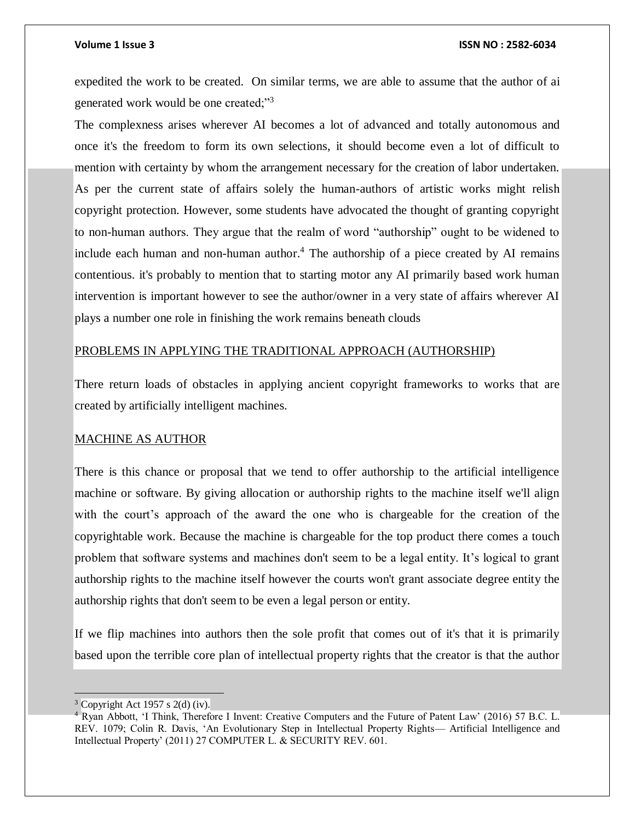expedited the work to be created. On similar terms, we are able to assume that the author of ai generated work would be one created;"<sup>3</sup>

The complexness arises wherever AI becomes a lot of advanced and totally autonomous and once it's the freedom to form its own selections, it should become even a lot of difficult to mention with certainty by whom the arrangement necessary for the creation of labor undertaken. As per the current state of affairs solely the human-authors of artistic works might relish copyright protection. However, some students have advocated the thought of granting copyright to non-human authors. They argue that the realm of word "authorship" ought to be widened to include each human and non-human author.<sup>4</sup> The authorship of a piece created by AI remains contentious. it's probably to mention that to starting motor any AI primarily based work human intervention is important however to see the author/owner in a very state of affairs wherever AI plays a number one role in finishing the work remains beneath clouds

# PROBLEMS IN APPLYING THE TRADITIONAL APPROACH (AUTHORSHIP)

There return loads of obstacles in applying ancient copyright frameworks to works that are created by artificially intelligent machines.

### MACHINE AS AUTHOR

There is this chance or proposal that we tend to offer authorship to the artificial intelligence machine or software. By giving allocation or authorship rights to the machine itself we'll align with the court's approach of the award the one who is chargeable for the creation of the copyrightable work. Because the machine is chargeable for the top product there comes a touch problem that software systems and machines don't seem to be a legal entity. It's logical to grant authorship rights to the machine itself however the courts won't grant associate degree entity the authorship rights that don't seem to be even a legal person or entity.

If we flip machines into authors then the sole profit that comes out of it's that it is primarily based upon the terrible core plan of intellectual property rights that the creator is that the author

 $3$  Copyright Act 1957 s 2(d) (iv).

<sup>4</sup> Ryan Abbott, 'I Think, Therefore I Invent: Creative Computers and the Future of Patent Law' (2016) 57 B.C. L. REV. 1079; Colin R. Davis, 'An Evolutionary Step in Intellectual Property Rights— Artificial Intelligence and Intellectual Property' (2011) 27 COMPUTER L. & SECURITY REV. 601.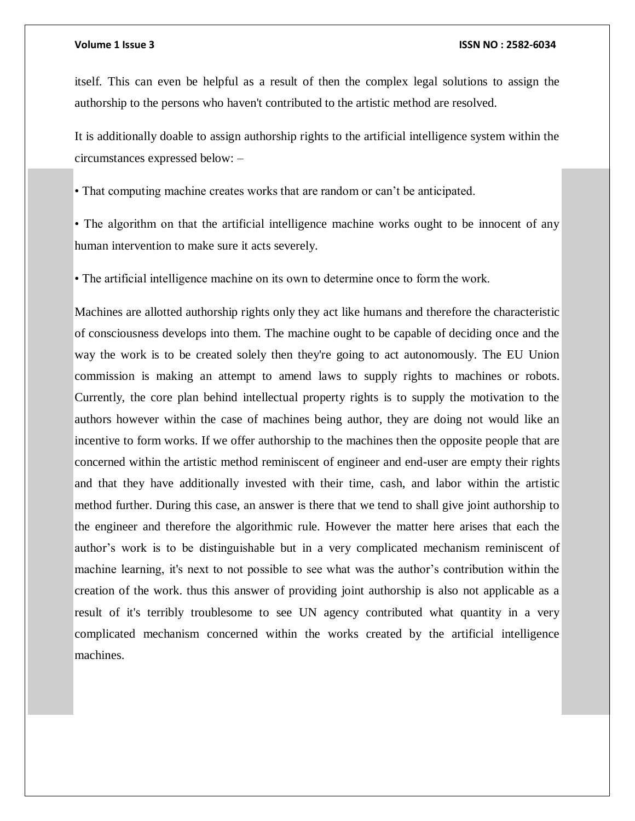itself. This can even be helpful as a result of then the complex legal solutions to assign the authorship to the persons who haven't contributed to the artistic method are resolved.

It is additionally doable to assign authorship rights to the artificial intelligence system within the circumstances expressed below: –

• That computing machine creates works that are random or can't be anticipated.

• The algorithm on that the artificial intelligence machine works ought to be innocent of any human intervention to make sure it acts severely.

• The artificial intelligence machine on its own to determine once to form the work.

Machines are allotted authorship rights only they act like humans and therefore the characteristic of consciousness develops into them. The machine ought to be capable of deciding once and the way the work is to be created solely then they're going to act autonomously. The EU Union commission is making an attempt to amend laws to supply rights to machines or robots. Currently, the core plan behind intellectual property rights is to supply the motivation to the authors however within the case of machines being author, they are doing not would like an incentive to form works. If we offer authorship to the machines then the opposite people that are concerned within the artistic method reminiscent of engineer and end-user are empty their rights and that they have additionally invested with their time, cash, and labor within the artistic method further. During this case, an answer is there that we tend to shall give joint authorship to the engineer and therefore the algorithmic rule. However the matter here arises that each the author's work is to be distinguishable but in a very complicated mechanism reminiscent of machine learning, it's next to not possible to see what was the author's contribution within the creation of the work. thus this answer of providing joint authorship is also not applicable as a result of it's terribly troublesome to see UN agency contributed what quantity in a very complicated mechanism concerned within the works created by the artificial intelligence machines.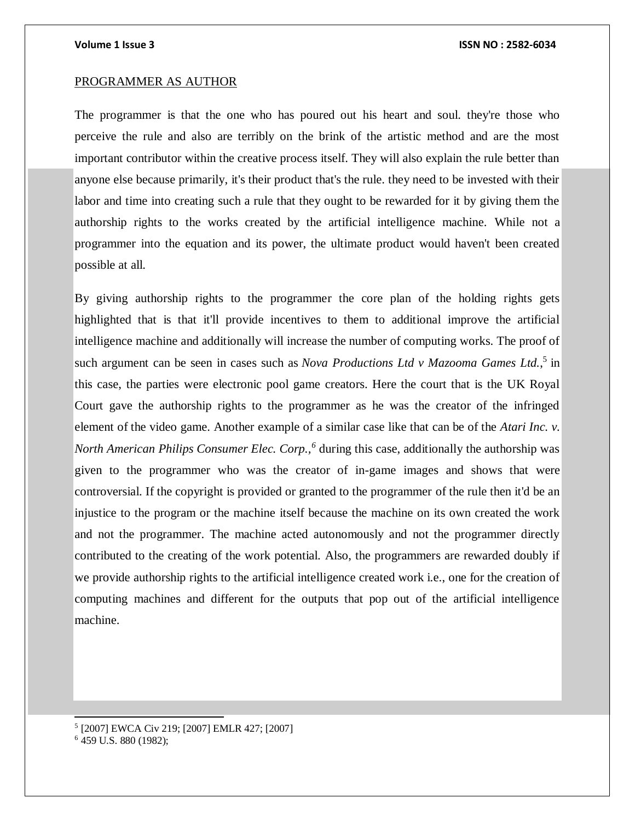## PROGRAMMER AS AUTHOR

The programmer is that the one who has poured out his heart and soul. they're those who perceive the rule and also are terribly on the brink of the artistic method and are the most important contributor within the creative process itself. They will also explain the rule better than anyone else because primarily, it's their product that's the rule. they need to be invested with their labor and time into creating such a rule that they ought to be rewarded for it by giving them the authorship rights to the works created by the artificial intelligence machine. While not a programmer into the equation and its power, the ultimate product would haven't been created possible at all.

By giving authorship rights to the programmer the core plan of the holding rights gets highlighted that is that it'll provide incentives to them to additional improve the artificial intelligence machine and additionally will increase the number of computing works. The proof of such argument can be seen in cases such as *Nova Productions Ltd v Mazooma Games Ltd.*<sup>5</sup> in this case, the parties were electronic pool game creators. Here the court that is the UK Royal Court gave the authorship rights to the programmer as he was the creator of the infringed element of the video game. Another example of a similar case like that can be of the *Atari Inc. v. North American Philips Consumer Elec. Corp.,<sup>6</sup>* during this case, additionally the authorship was given to the programmer who was the creator of in-game images and shows that were controversial. If the copyright is provided or granted to the programmer of the rule then it'd be an injustice to the program or the machine itself because the machine on its own created the work and not the programmer. The machine acted autonomously and not the programmer directly contributed to the creating of the work potential. Also, the programmers are rewarded doubly if we provide authorship rights to the artificial intelligence created work i.e., one for the creation of computing machines and different for the outputs that pop out of the artificial intelligence machine.

5 [2007] EWCA Civ 219; [2007] EMLR 427; [2007]

l

<sup>6</sup> 459 U.S. 880 (1982);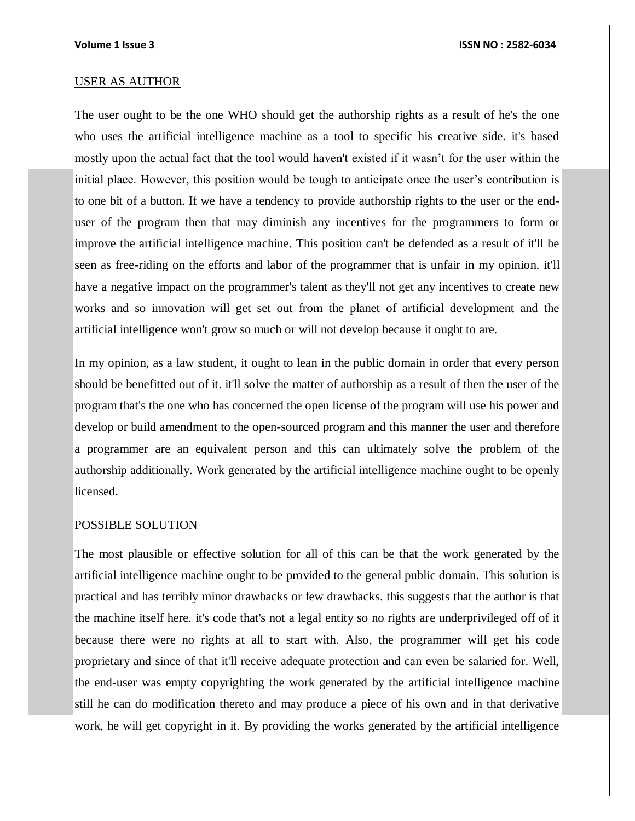### USER AS AUTHOR

The user ought to be the one WHO should get the authorship rights as a result of he's the one who uses the artificial intelligence machine as a tool to specific his creative side. it's based mostly upon the actual fact that the tool would haven't existed if it wasn't for the user within the initial place. However, this position would be tough to anticipate once the user's contribution is to one bit of a button. If we have a tendency to provide authorship rights to the user or the enduser of the program then that may diminish any incentives for the programmers to form or improve the artificial intelligence machine. This position can't be defended as a result of it'll be seen as free-riding on the efforts and labor of the programmer that is unfair in my opinion. it'll have a negative impact on the programmer's talent as they'll not get any incentives to create new works and so innovation will get set out from the planet of artificial development and the artificial intelligence won't grow so much or will not develop because it ought to are.

In my opinion, as a law student, it ought to lean in the public domain in order that every person should be benefitted out of it. it'll solve the matter of authorship as a result of then the user of the program that's the one who has concerned the open license of the program will use his power and develop or build amendment to the open-sourced program and this manner the user and therefore a programmer are an equivalent person and this can ultimately solve the problem of the authorship additionally. Work generated by the artificial intelligence machine ought to be openly licensed.

## POSSIBLE SOLUTION

The most plausible or effective solution for all of this can be that the work generated by the artificial intelligence machine ought to be provided to the general public domain. This solution is practical and has terribly minor drawbacks or few drawbacks. this suggests that the author is that the machine itself here. it's code that's not a legal entity so no rights are underprivileged off of it because there were no rights at all to start with. Also, the programmer will get his code proprietary and since of that it'll receive adequate protection and can even be salaried for. Well, the end-user was empty copyrighting the work generated by the artificial intelligence machine still he can do modification thereto and may produce a piece of his own and in that derivative work, he will get copyright in it. By providing the works generated by the artificial intelligence